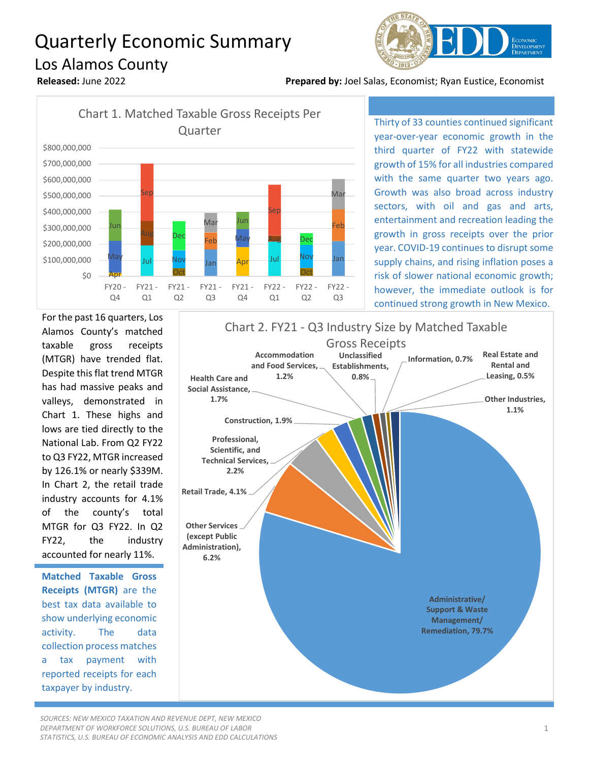## Quarterly Economic Summary Los Alamos County



**Released:** June 2022 **Prepared by:** Joel Salas, Economist; Ryan Eustice, Economist



Thirty of 33 counties continued significant year-over-year economic growth in the third quarter of FY22 with statewide growth of 15% for all industries compared with the same quarter two years ago. Growth was also broad across industry sectors, with oil and gas and arts, entertainment and recreation leading the growth in gross receipts over the prior year. COVID-19 continues to disrupt some supply chains, and rising inflation poses a risk of slower national economic growth; however, the immediate outlook is for continued strong growth in New Mexico.

For the past 16 quarters, Los Alamos County's matched taxable gross receipts (MTGR) have trended flat. Despite this flat trend MTGR has had massive peaks and valleys, demonstrated in Chart 1. These highs and lows are tied directly to the National Lab. From Q2 FY22 to Q3 FY22, MTGR increased by 126.1% or nearly \$339M. In Chart 2, the retail trade industry accounts for 4.1% of the county's total MTGR for Q3 FY22. In Q2 FY22, the industry accounted for nearly 11%.

**Matched Taxable Gross Receipts (MTGR)** are the best tax data available to show underlying economic activity. The data collection process matches a tax payment with reported receipts for each taxpayer by industry.



*SOURCES: NEW MEXICO TAXATION AND REVENUE DEPT, NEW MEXICO DEPARTMENT OF WORKFORCE SOLUTIONS, U.S. BUREAU OF LABOR STATISTICS, U.S. BUREAU OF ECONOMIC ANALYSIS AND EDD CALCULATIONS*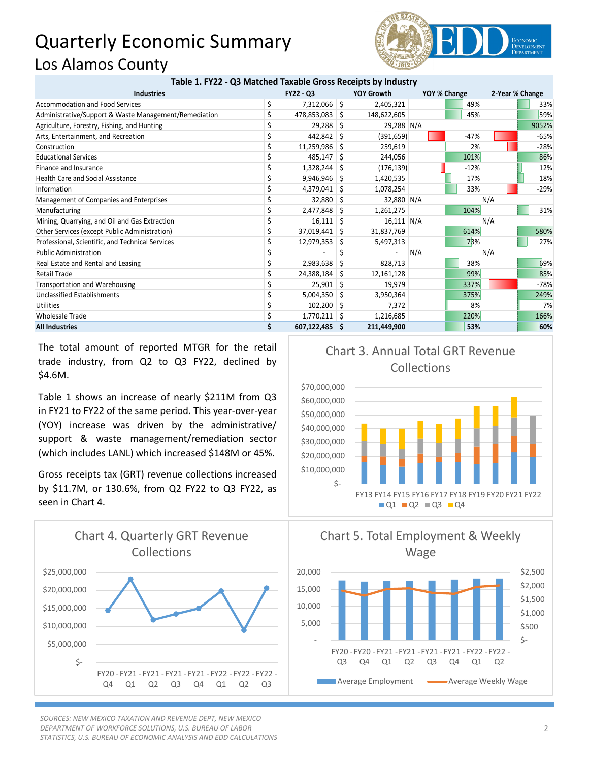## Quarterly Economic Summary Los Alamos County



## **Table 1. FY22 - Q3 Matched Taxable Gross Receipts by Industry**

| <b>Industries</b>                                     | <b>FY22 - Q3</b> |                | <b>YOY Growth</b> | YOY % Change |     | 2-Year % Change |        |     |        |
|-------------------------------------------------------|------------------|----------------|-------------------|--------------|-----|-----------------|--------|-----|--------|
| Accommodation and Food Services                       |                  | 7,312,066 \$   |                   | 2,405,321    |     |                 | 49%    |     | 33%    |
| Administrative/Support & Waste Management/Remediation |                  | 478,853,083 \$ |                   | 148,622,605  |     |                 | 45%    |     | 59%    |
| Agriculture, Forestry, Fishing, and Hunting           |                  | 29,288         | -S                | 29,288 N/A   |     |                 |        |     | 9052%  |
| Arts, Entertainment, and Recreation                   |                  | $442,842$ \$   |                   | (391, 659)   |     |                 | $-47%$ |     | $-65%$ |
| Construction                                          |                  | 11,259,986 \$  |                   | 259,619      |     |                 | 2%     |     | $-28%$ |
| <b>Educational Services</b>                           |                  | $485,147$ \$   |                   | 244,056      |     |                 | 101%   |     | 86%    |
| Finance and Insurance                                 |                  | $1,328,244$ \$ |                   | (176, 139)   |     |                 | $-12%$ |     | 12%    |
| <b>Health Care and Social Assistance</b>              |                  | 9,946,946      |                   | 1,420,535    |     |                 | 17%    |     | 18%    |
| Information                                           |                  | $4,379,041$ \$ |                   | 1,078,254    |     |                 | 33%    |     | $-29%$ |
| Management of Companies and Enterprises               |                  | 32,880 \$      |                   | 32,880 N/A   |     |                 |        | N/A |        |
| Manufacturing                                         |                  | $2,477,848$ \$ |                   | 1,261,275    |     |                 | 104%   |     | 31%    |
| Mining, Quarrying, and Oil and Gas Extraction         |                  | $16,111$ \$    |                   | $16,111$ N/A |     |                 |        | N/A |        |
| Other Services (except Public Administration)         |                  | 37,019,441 \$  |                   | 31,837,769   |     |                 | 614%   |     | 580%   |
| Professional, Scientific, and Technical Services      |                  | 12,979,353     | S.                | 5,497,313    |     |                 | 73%    |     | 27%    |
| <b>Public Administration</b>                          |                  |                |                   |              | N/A |                 |        | N/A |        |
| Real Estate and Rental and Leasing                    |                  | 2,983,638      | S                 | 828,713      |     |                 | 38%    |     | 69%    |
| <b>Retail Trade</b>                                   |                  | 24,388,184     | -S                | 12,161,128   |     |                 | 99%    |     | 85%    |
| <b>Transportation and Warehousing</b>                 |                  | 25,901         | -S                | 19,979       |     |                 | 337%   |     | $-78%$ |
| Unclassified Establishments                           |                  | $5,004,350$ \$ |                   | 3,950,364    |     |                 | 375%   |     | 249%   |
| <b>Utilities</b>                                      |                  | $102,200$ \$   |                   | 7,372        |     |                 | 8%     |     | 7%     |
| <b>Wholesale Trade</b>                                |                  | $1,770,211$ \$ |                   | 1,216,685    |     |                 | 220%   |     | 166%   |
| <b>All Industries</b>                                 |                  | 607,122,485 \$ |                   | 211,449,900  |     |                 | 53%    |     | 60%    |

The total amount of reported MTGR for the retail trade industry, from Q2 to Q3 FY22, declined by \$4.6M.

Table 1 shows an increase of nearly \$211M from Q3 in FY21 to FY22 of the same period. This year-over-year (YOY) increase was driven by the administrative/ support & waste management/remediation sector (which includes LANL) which increased \$148M or 45%.

Gross receipts tax (GRT) revenue collections increased by \$11.7M, or 130.6%, from Q2 FY22 to Q3 FY22, as seen in Chart 4.



*SOURCES: NEW MEXICO TAXATION AND REVENUE DEPT, NEW MEXICO DEPARTMENT OF WORKFORCE SOLUTIONS, U.S. BUREAU OF LABOR STATISTICS, U.S. BUREAU OF ECONOMIC ANALYSIS AND EDD CALCULATIONS*